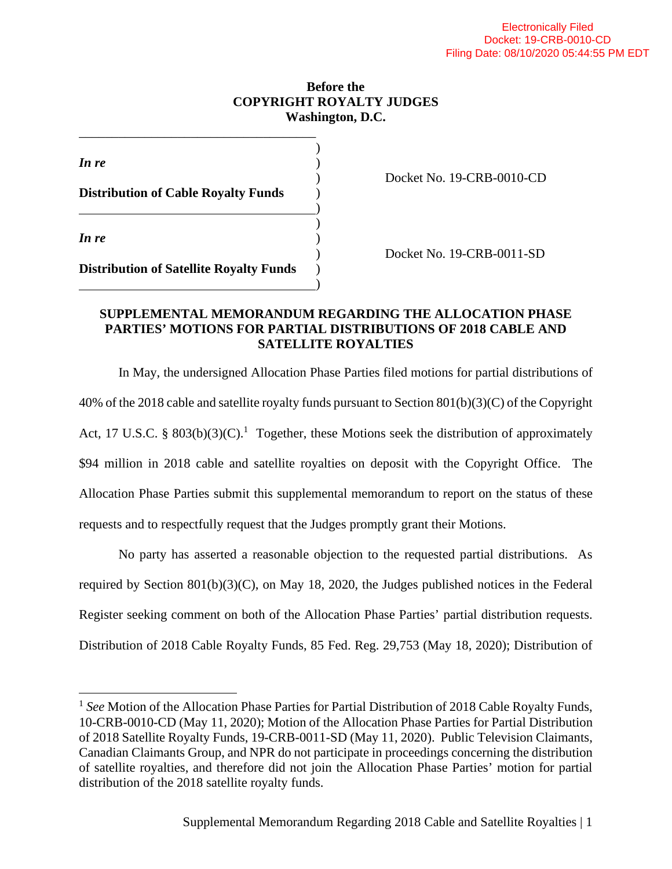### **Before the COPYRIGHT ROYALTY JUDGES Washington, D.C.**

| In re                                          |  |
|------------------------------------------------|--|
| <b>Distribution of Cable Royalty Funds</b>     |  |
| In re                                          |  |
| <b>Distribution of Satellite Royalty Funds</b> |  |

) Docket No. 19-CRB-0010-CD

) Docket No. 19-CRB-0011-SD

## **SUPPLEMENTAL MEMORANDUM REGARDING THE ALLOCATION PHASE PARTIES' MOTIONS FOR PARTIAL DISTRIBUTIONS OF 2018 CABLE AND SATELLITE ROYALTIES**

)

In May, the undersigned Allocation Phase Parties filed motions for partial distributions of 40% of the 2018 cable and satellite royalty funds pursuant to Section 801(b)(3)(C) of the Copyright Act, [1](#page-0-0)7 U.S.C. §  $803(b)(3)(C)$ .<sup>1</sup> Together, these Motions seek the distribution of approximately \$94 million in 2018 cable and satellite royalties on deposit with the Copyright Office. The Allocation Phase Parties submit this supplemental memorandum to report on the status of these requests and to respectfully request that the Judges promptly grant their Motions.

No party has asserted a reasonable objection to the requested partial distributions. As required by Section 801(b)(3)(C), on May 18, 2020, the Judges published notices in the Federal Register seeking comment on both of the Allocation Phase Parties' partial distribution requests. Distribution of 2018 Cable Royalty Funds, 85 Fed. Reg. 29,753 (May 18, 2020); Distribution of

<span id="page-0-0"></span><sup>&</sup>lt;sup>1</sup> See Motion of the Allocation Phase Parties for Partial Distribution of 2018 Cable Royalty Funds, 10-CRB-0010-CD (May 11, 2020); Motion of the Allocation Phase Parties for Partial Distribution of 2018 Satellite Royalty Funds, 19-CRB-0011-SD (May 11, 2020). Public Television Claimants, Canadian Claimants Group, and NPR do not participate in proceedings concerning the distribution of satellite royalties, and therefore did not join the Allocation Phase Parties' motion for partial distribution of the 2018 satellite royalty funds.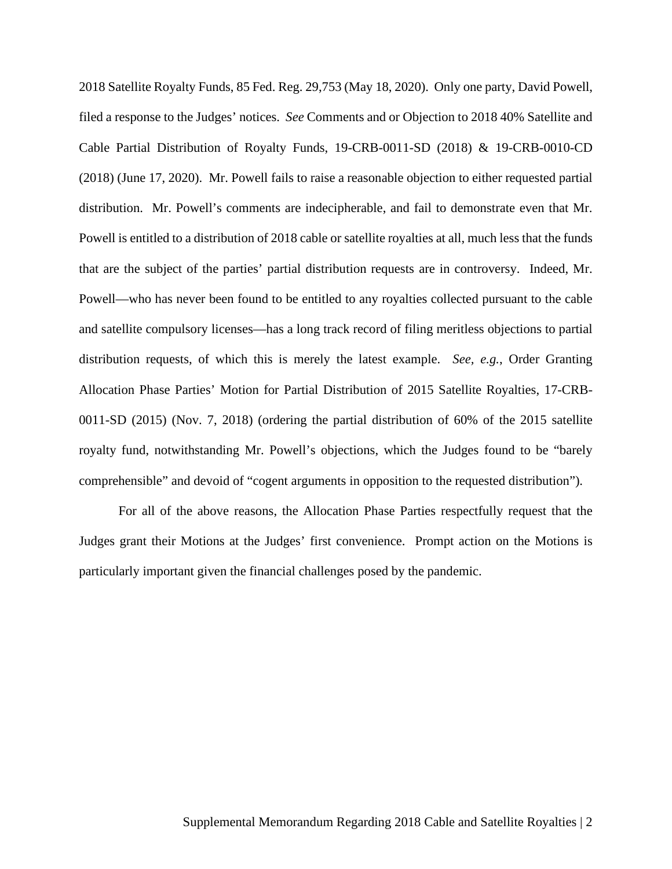2018 Satellite Royalty Funds, 85 Fed. Reg. 29,753 (May 18, 2020). Only one party, David Powell, filed a response to the Judges' notices. *See* Comments and or Objection to 2018 40% Satellite and Cable Partial Distribution of Royalty Funds, 19-CRB-0011-SD (2018) & 19-CRB-0010-CD (2018) (June 17, 2020). Mr. Powell fails to raise a reasonable objection to either requested partial distribution. Mr. Powell's comments are indecipherable, and fail to demonstrate even that Mr. Powell is entitled to a distribution of 2018 cable or satellite royalties at all, much less that the funds that are the subject of the parties' partial distribution requests are in controversy. Indeed, Mr. Powell—who has never been found to be entitled to any royalties collected pursuant to the cable and satellite compulsory licenses—has a long track record of filing meritless objections to partial distribution requests, of which this is merely the latest example. *See, e.g.*, Order Granting Allocation Phase Parties' Motion for Partial Distribution of 2015 Satellite Royalties, 17-CRB-0011-SD (2015) (Nov. 7, 2018) (ordering the partial distribution of 60% of the 2015 satellite royalty fund, notwithstanding Mr. Powell's objections, which the Judges found to be "barely comprehensible" and devoid of "cogent arguments in opposition to the requested distribution").

For all of the above reasons, the Allocation Phase Parties respectfully request that the Judges grant their Motions at the Judges' first convenience. Prompt action on the Motions is particularly important given the financial challenges posed by the pandemic.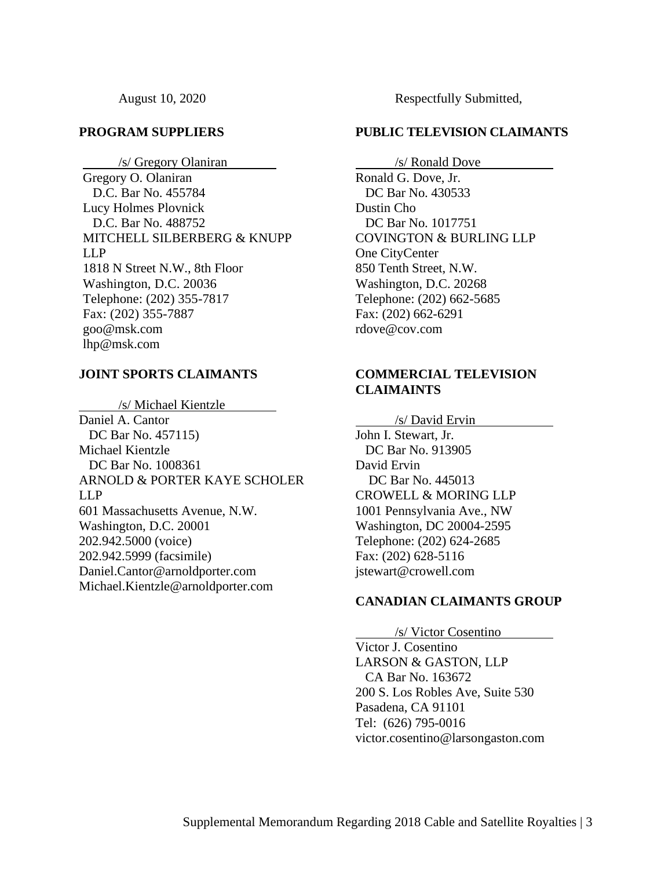# **PROGRAM SUPPLIERS**

/s/ Gregory Olaniran Gregory O. Olaniran D.C. Bar No. 455784 Lucy Holmes Plovnick D.C. Bar No. 488752 MITCHELL SILBERBERG & KNUPP LLP 1818 N Street N.W., 8th Floor Washington, D.C. 20036 Telephone: (202) 355-7817 Fax: (202) 355-7887 goo@msk.com lhp@msk.com

### **JOINT SPORTS CLAIMANTS**

/s/ Michael Kientzle Daniel A. Cantor DC Bar No. 457115) Michael Kientzle DC Bar No. 1008361 ARNOLD & PORTER KAYE SCHOLER LLP 601 Massachusetts Avenue, N.W. Washington, D.C. 20001 202.942.5000 (voice) 202.942.5999 (facsimile) Daniel.Cantor@arnoldporter.com Michael.Kientzle@arnoldporter.com

August 10, 2020 Respectfully Submitted,

### **PUBLIC TELEVISION CLAIMANTS**

/s/ Ronald Dove Ronald G. Dove, Jr. DC Bar No. 430533 Dustin Cho DC Bar No. 1017751 COVINGTON & BURLING LLP One CityCenter 850 Tenth Street, N.W. Washington, D.C. 20268 Telephone: (202) 662-5685 Fax: (202) 662-6291 rdove@cov.com

## **COMMERCIAL TELEVISION CLAIMAINTS**

/s/ David Ervin

John I. Stewart, Jr. DC Bar No. 913905 David Ervin DC Bar No. 445013 CROWELL & MORING LLP 1001 Pennsylvania Ave., NW Washington, DC 20004-2595 Telephone: (202) 624-2685 Fax: (202) 628-5116 jstewart@crowell.com

#### **CANADIAN CLAIMANTS GROUP**

/s/ Victor Cosentino Victor J. Cosentino LARSON & GASTON, LLP CA Bar No. 163672 200 S. Los Robles Ave, Suite 530 Pasadena, CA 91101 Tel: (626) 795-0016 victor.cosentino@larsongaston.com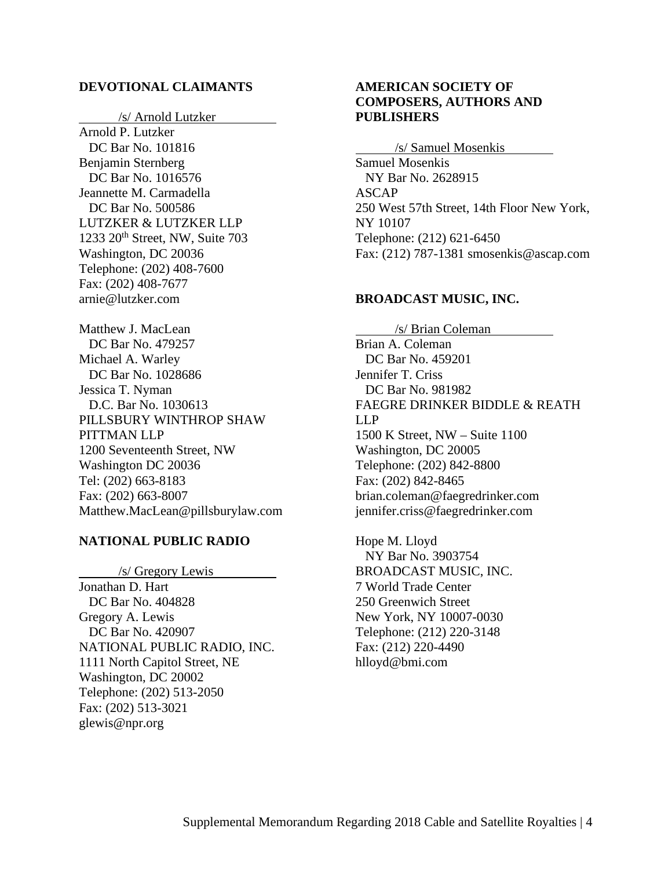### **DEVOTIONAL CLAIMANTS**

/s/ Arnold Lutzker

Arnold P. Lutzker DC Bar No. 101816 Benjamin Sternberg DC Bar No. 1016576 Jeannette M. Carmadella DC Bar No. 500586 LUTZKER & LUTZKER LLP 1233 20th Street, NW, Suite 703 Washington, DC 20036 Telephone: (202) 408-7600 Fax: (202) 408-7677 arnie@lutzker.com

Matthew J. MacLean DC Bar No. 479257 Michael A. Warley DC Bar No. 1028686 Jessica T. Nyman D.C. Bar No. 1030613 PILLSBURY WINTHROP SHAW PITTMAN LLP 1200 Seventeenth Street, NW Washington DC 20036 Tel: (202) 663-8183 Fax: (202) 663-8007 Matthew.MacLean@pillsburylaw.com

#### **NATIONAL PUBLIC RADIO**

/s/ Gregory Lewis Jonathan D. Hart DC Bar No. 404828 Gregory A. Lewis DC Bar No. 420907 NATIONAL PUBLIC RADIO, INC. 1111 North Capitol Street, NE Washington, DC 20002 Telephone: (202) 513-2050 Fax: (202) 513-3021 glewis@npr.org

## **AMERICAN SOCIETY OF COMPOSERS, AUTHORS AND PUBLISHERS**

/s/ Samuel Mosenkis

Samuel Mosenkis NY Bar No. 2628915 ASCAP 250 West 57th Street, 14th Floor New York, NY 10107 Telephone: (212) 621-6450 Fax: (212) 787-1381 smosenkis@ascap.com

### **BROADCAST MUSIC, INC.**

/s/ Brian Coleman Brian A. Coleman DC Bar No. 459201 Jennifer T. Criss DC Bar No. 981982 FAEGRE DRINKER BIDDLE & REATH LLP 1500 K Street, NW – Suite 1100 Washington, DC 20005 Telephone: (202) 842-8800 Fax: (202) 842-8465 brian.coleman@faegredrinker.com jennifer.criss@faegredrinker.com

Hope M. Lloyd NY Bar No. 3903754 BROADCAST MUSIC, INC. 7 World Trade Center 250 Greenwich Street New York, NY 10007-0030 Telephone: (212) 220-3148 Fax: (212) 220-4490 hlloyd@bmi.com